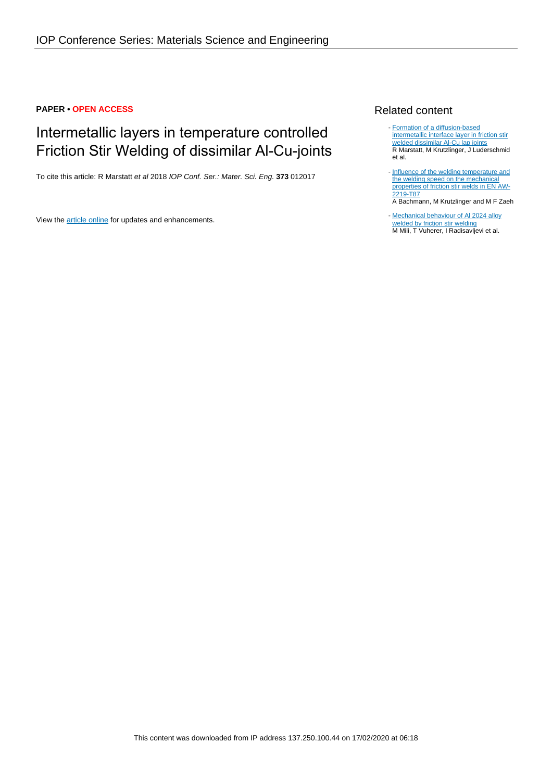### **PAPER • OPEN ACCESS**

# Intermetallic layers in temperature controlled Friction Stir Welding of dissimilar Al-Cu-joints

To cite this article: R Marstatt et al 2018 IOP Conf. Ser.: Mater. Sci. Eng. **373** 012017

View the [article online](https://doi.org/10.1088/1757-899X/373/1/012017) for updates and enhancements.

# Related content

- [Formation of a diffusion-based](http://iopscience.iop.org/article/10.1088/1757-899X/181/1/012002) [intermetallic interface layer in friction stir](http://iopscience.iop.org/article/10.1088/1757-899X/181/1/012002) [welded dissimilar Al-Cu lap joints](http://iopscience.iop.org/article/10.1088/1757-899X/181/1/012002) R Marstatt, M Krutzlinger, J Luderschmid et al.
- [Influence of the welding temperature and](http://iopscience.iop.org/article/10.1088/1757-899X/373/1/012016) [the welding speed on the mechanical](http://iopscience.iop.org/article/10.1088/1757-899X/373/1/012016) [properties of friction stir welds in EN AW-](http://iopscience.iop.org/article/10.1088/1757-899X/373/1/012016)[2219-T87](http://iopscience.iop.org/article/10.1088/1757-899X/373/1/012016) A Bachmann, M Krutzlinger and M F Zaeh
- Mechanical behaviour of AI 2024 alloy [welded by friction stir welding](http://iopscience.iop.org/article/10.1088/1757-899X/393/1/012107) M Mili, T Vuherer, I Radisavljevi et al.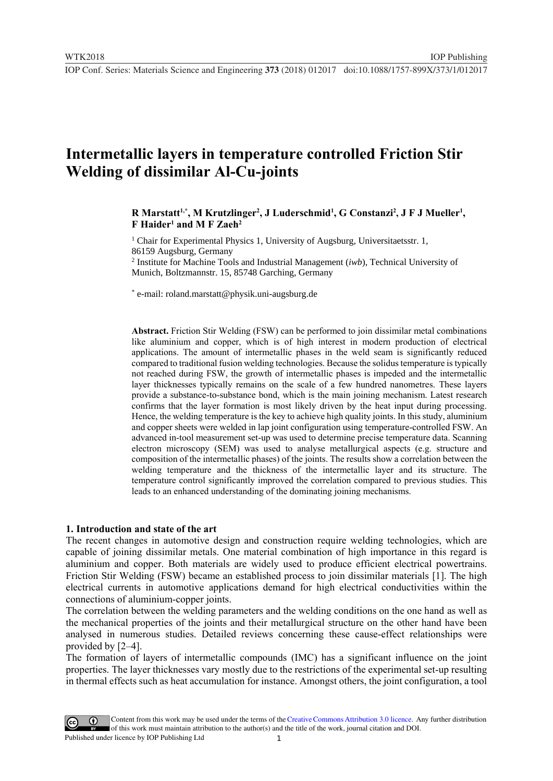# **Intermetallic layers in temperature controlled Friction Stir Welding of dissimilar Al-Cu-joints**

### R Marstatt<sup>1,\*</sup>, M Krutzlinger<sup>2</sup>, J Luderschmid<sup>1</sup>, G Constanzi<sup>2</sup>, J F J Mueller<sup>1</sup>, **F Haider1 and M F Zaeh2**

<sup>1</sup> Chair for Experimental Physics 1, University of Augsburg, Universitaetsstr. 1, 86159 Augsburg, Germany <sup>2</sup> Institute for Machine Tools and Industrial Management (iwb), Technical University of

Munich, Boltzmannstr. 15, 85748 Garching, Germany

\* e-mail: roland.marstatt@physik.uni-augsburg.de

**Abstract.** Friction Stir Welding (FSW) can be performed to join dissimilar metal combinations like aluminium and copper, which is of high interest in modern production of electrical applications. The amount of intermetallic phases in the weld seam is significantly reduced compared to traditional fusion welding technologies. Because the solidus temperature is typically not reached during FSW, the growth of intermetallic phases is impeded and the intermetallic layer thicknesses typically remains on the scale of a few hundred nanometres. These layers provide a substance-to-substance bond, which is the main joining mechanism. Latest research confirms that the layer formation is most likely driven by the heat input during processing. Hence, the welding temperature is the key to achieve high quality joints. In this study, aluminium and copper sheets were welded in lap joint configuration using temperature-controlled FSW. An advanced in-tool measurement set-up was used to determine precise temperature data. Scanning electron microscopy (SEM) was used to analyse metallurgical aspects (e.g. structure and composition of the intermetallic phases) of the joints. The results show a correlation between the welding temperature and the thickness of the intermetallic layer and its structure. The temperature control significantly improved the correlation compared to previous studies. This leads to an enhanced understanding of the dominating joining mechanisms.

#### **1. Introduction and state of the art**

The recent changes in automotive design and construction require welding technologies, which are capable of joining dissimilar metals. One material combination of high importance in this regard is aluminium and copper. Both materials are widely used to produce efficient electrical powertrains. Friction Stir Welding (FSW) became an established process to join dissimilar materials [1]. The high electrical currents in automotive applications demand for high electrical conductivities within the connections of aluminium-copper joints.

The correlation between the welding parameters and the welding conditions on the one hand as well as the mechanical properties of the joints and their metallurgical structure on the other hand have been analysed in numerous studies. Detailed reviews concerning these cause-effect relationships were provided by [2–4].

The formation of layers of intermetallic compounds (IMC) has a significant influence on the joint properties. The layer thicknesses vary mostly due to the restrictions of the experimental set-up resulting in thermal effects such as heat accumulation for instance. Amongst others, the joint configuration, a tool

1 Content from this work may be used under the terms of the [Creative Commons Attribution 3.0 licence.](http://creativecommons.org/licenses/by/3.0) Any further distribution of this work must maintain attribution to the author(s) and the title of the work, journal citation and DOI. Published under licence by IOP Publishing Ltd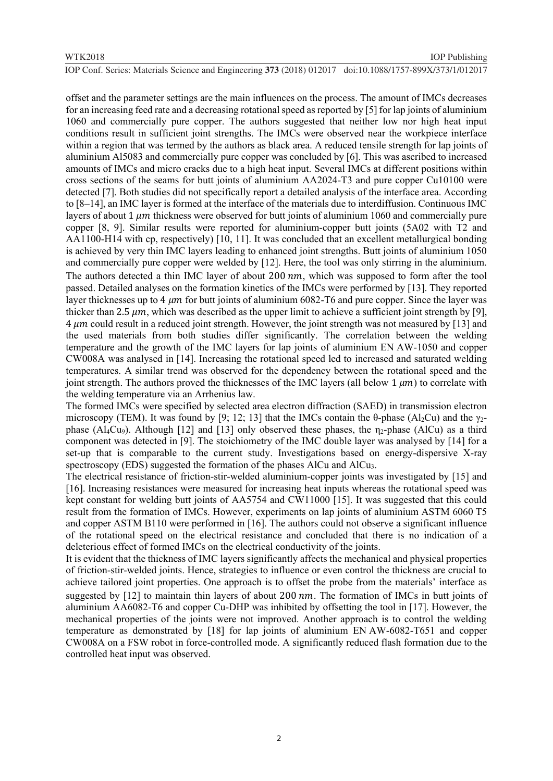offset and the parameter settings are the main influences on the process. The amount of IMCs decreases for an increasing feed rate and a decreasing rotational speed as reported by [5] for lap joints of aluminium 1060 and commercially pure copper. The authors suggested that neither low nor high heat input conditions result in sufficient joint strengths. The IMCs were observed near the workpiece interface within a region that was termed by the authors as black area. A reduced tensile strength for lap joints of aluminium Al5083 and commercially pure copper was concluded by [6]. This was ascribed to increased amounts of IMCs and micro cracks due to a high heat input. Several IMCs at different positions within cross sections of the seams for butt joints of aluminium AA2024-T3 and pure copper Cu10100 were detected [7]. Both studies did not specifically report a detailed analysis of the interface area. According to [8–14], an IMC layer is formed at the interface of the materials due to interdiffusion. Continuous IMC layers of about 1  $\mu$ m thickness were observed for butt joints of aluminium 1060 and commercially pure copper [8, 9]. Similar results were reported for aluminium-copper butt joints (5A02 with T2 and AA1100-H14 with cp, respectively) [10, 11]. It was concluded that an excellent metallurgical bonding is achieved by very thin IMC layers leading to enhanced joint strengths. Butt joints of aluminium 1050 and commercially pure copper were welded by [12]. Here, the tool was only stirring in the aluminium. The authors detected a thin IMC layer of about 200  $nm$ , which was supposed to form after the tool passed. Detailed analyses on the formation kinetics of the IMCs were performed by [13]. They reported layer thicknesses up to  $4 \mu m$  for butt joints of aluminium 6082-T6 and pure copper. Since the layer was thicker than 2.5  $\mu$ m, which was described as the upper limit to achieve a sufficient joint strength by [9], 4 um could result in a reduced joint strength. However, the joint strength was not measured by [13] and the used materials from both studies differ significantly. The correlation between the welding temperature and the growth of the IMC layers for lap joints of aluminium EN AW-1050 and copper CW008A was analysed in [14]. Increasing the rotational speed led to increased and saturated welding temperatures. A similar trend was observed for the dependency between the rotational speed and the joint strength. The authors proved the thicknesses of the IMC layers (all below  $1 \mu m$ ) to correlate with the welding temperature via an Arrhenius law.

The formed IMCs were specified by selected area electron diffraction (SAED) in transmission electron microscopy (TEM). It was found by [9; 12; 13] that the IMCs contain the θ-phase (Al<sub>2</sub>Cu) and the γ<sub>2</sub>phase (Al<sub>4</sub>Cu<sub>9</sub>). Although [12] and [13] only observed these phases, the  $\eta_2$ -phase (AlCu) as a third component was detected in [9]. The stoichiometry of the IMC double layer was analysed by [14] for a set-up that is comparable to the current study. Investigations based on energy-dispersive X-ray spectroscopy (EDS) suggested the formation of the phases AlCu and AlCu<sub>3</sub>.

The electrical resistance of friction-stir-welded aluminium-copper joints was investigated by [15] and [16]. Increasing resistances were measured for increasing heat inputs whereas the rotational speed was kept constant for welding butt joints of AA5754 and CW11000 [15]. It was suggested that this could result from the formation of IMCs. However, experiments on lap joints of aluminium ASTM 6060 T5 and copper ASTM B110 were performed in [16]. The authors could not observe a significant influence of the rotational speed on the electrical resistance and concluded that there is no indication of a deleterious effect of formed IMCs on the electrical conductivity of the joints.

It is evident that the thickness of IMC layers significantly affects the mechanical and physical properties of friction-stir-welded joints. Hence, strategies to influence or even control the thickness are crucial to achieve tailored joint properties. One approach is to offset the probe from the materials' interface as suggested by  $[12]$  to maintain thin layers of about 200  $nm$ . The formation of IMCs in butt joints of aluminium AA6082-T6 and copper Cu-DHP was inhibited by offsetting the tool in [17]. However, the mechanical properties of the joints were not improved. Another approach is to control the welding temperature as demonstrated by [18] for lap joints of aluminium EN AW-6082-T651 and copper CW008A on a FSW robot in force-controlled mode. A significantly reduced flash formation due to the controlled heat input was observed.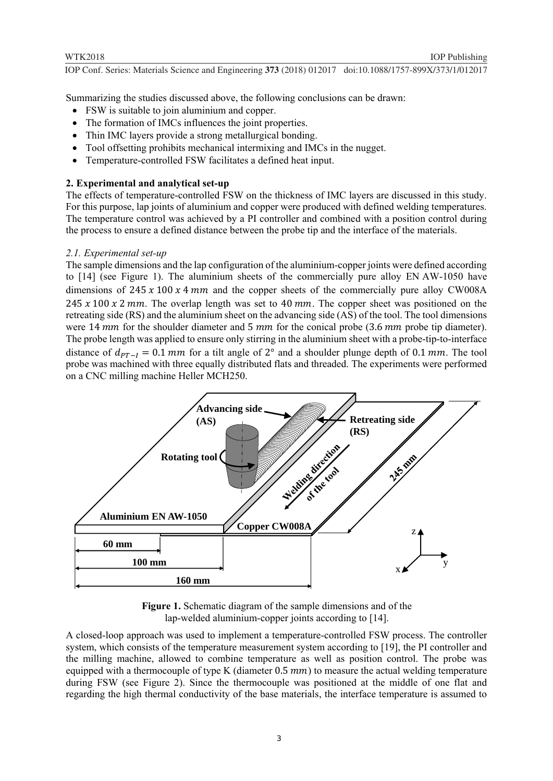WTK2018 **IOP** Publishing

**1234567890**''"" IOP Conf. Series: Materials Science and Engineering **373** (2018) 012017 doi:10.1088/1757-899X/373/1/012017

Summarizing the studies discussed above, the following conclusions can be drawn:

- FSW is suitable to join aluminium and copper.
- The formation of IMCs influences the joint properties.
- Thin IMC layers provide a strong metallurgical bonding.
- Tool offsetting prohibits mechanical intermixing and IMCs in the nugget.
- Temperature-controlled FSW facilitates a defined heat input.

# **2. Experimental and analytical set-up**

The effects of temperature-controlled FSW on the thickness of IMC layers are discussed in this study. For this purpose, lap joints of aluminium and copper were produced with defined welding temperatures. The temperature control was achieved by a PI controller and combined with a position control during the process to ensure a defined distance between the probe tip and the interface of the materials.

## *2.1. Experimental set-up*

The sample dimensions and the lap configuration of the aluminium-copper joints were defined according to [14] (see [Figure 1\)](#page-3-0). The aluminium sheets of the commercially pure alloy EN AW-1050 have dimensions of  $245 x 100 x 4 mm$  and the copper sheets of the commercially pure alloy CW008A 245  $x$  100  $x$  2 mm. The overlap length was set to 40 mm. The copper sheet was positioned on the retreating side (RS) and the aluminium sheet on the advancing side (AS) of the tool. The tool dimensions were 14  $mm$  for the shoulder diameter and 5  $mm$  for the conical probe (3.6  $mm$  probe tip diameter). The probe length was applied to ensure only stirring in the aluminium sheet with a probe-tip-to-interface distance of  $d_{PT-I} = 0.1$  mm for a tilt angle of 2° and a shoulder plunge depth of 0.1 mm. The tool probe was machined with three equally distributed flats and threaded. The experiments were performed on a CNC milling machine Heller MCH250.



**Figure 1.** Schematic diagram of the sample dimensions and of the lap-welded aluminium-copper joints according to [14].

<span id="page-3-0"></span>A closed-loop approach was used to implement a temperature-controlled FSW process. The controller system, which consists of the temperature measurement system according to [19], the PI controller and the milling machine, allowed to combine temperature as well as position control. The probe was equipped with a thermocouple of type K (diameter  $0.5 \, mm$ ) to measure the actual welding temperature during FSW (see [Figure 2\)](#page-4-0). Since the thermocouple was positioned at the middle of one flat and regarding the high thermal conductivity of the base materials, the interface temperature is assumed to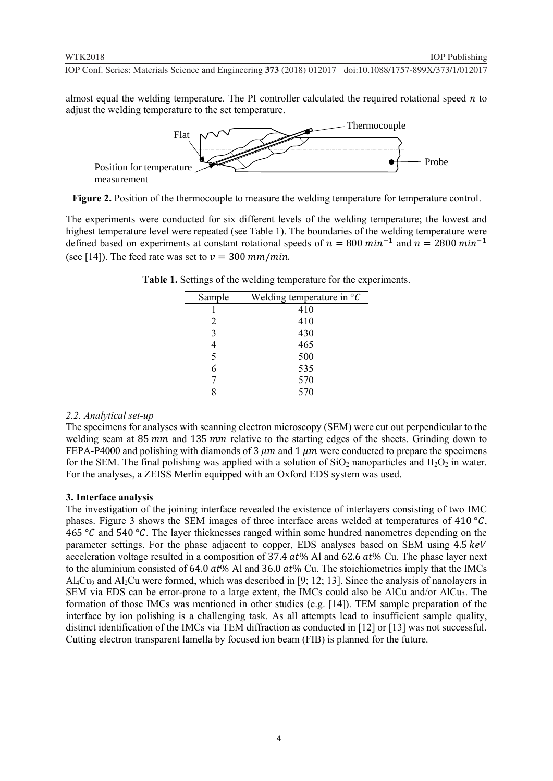almost equal the welding temperature. The PI controller calculated the required rotational speed  $n$  to adjust the welding temperature to the set temperature.



<span id="page-4-0"></span>**Figure 2.** Position of the thermocouple to measure the welding temperature for temperature control.

<span id="page-4-1"></span>The experiments were conducted for six different levels of the welding temperature; the lowest and highest temperature level were repeated (see [Table 1\)](#page-4-1). The boundaries of the welding temperature were defined based on experiments at constant rotational speeds of  $n = 800$  min<sup>-1</sup> and  $n = 2800$  min<sup>-1</sup> (see [14]). The feed rate was set to  $v = 300$  mm/min.

| Sample | Welding temperature in ${}^{\circ}C$ |
|--------|--------------------------------------|
|        | 410                                  |
| 2      | 410                                  |
| 3      | 430                                  |
|        | 465                                  |
| 5      | 500                                  |
| 6      | 535                                  |
|        | 570                                  |
|        | 570                                  |

**Table 1.** Settings of the welding temperature for the experiments.

#### *2.2. Analytical set-up*

The specimens for analyses with scanning electron microscopy (SEM) were cut out perpendicular to the welding seam at 85  $mm$  and 135  $mm$  relative to the starting edges of the sheets. Grinding down to FEPA-P4000 and polishing with diamonds of 3  $\mu$ m and 1  $\mu$ m were conducted to prepare the specimens for the SEM. The final polishing was applied with a solution of  $SiO<sub>2</sub>$  nanoparticles and  $H<sub>2</sub>O<sub>2</sub>$  in water. For the analyses, a ZEISS Merlin equipped with an Oxford EDS system was used.

#### **3. Interface analysis**

The investigation of the joining interface revealed the existence of interlayers consisting of two IMC phases. [Figure 3](#page-5-0) shows the SEM images of three interface areas welded at temperatures of 410  $\degree$ C,  $465 \degree C$  and  $540 \degree C$ . The layer thicknesses ranged within some hundred nanometres depending on the parameter settings. For the phase adjacent to copper, EDS analyses based on SEM using 4.5 keV acceleration voltage resulted in a composition of  $37.4$  at% Al and 62.6 at% Cu. The phase layer next to the aluminium consisted of 64.0  $at\%$  Al and 36.0  $at\%$  Cu. The stoichiometries imply that the IMCs Al<sub>4</sub>Cu<sub>9</sub> and Al<sub>2</sub>Cu were formed, which was described in [9; 12; 13]. Since the analysis of nanolayers in SEM via EDS can be error-prone to a large extent, the IMCs could also be AlCu and/or AlCu<sub>3</sub>. The formation of those IMCs was mentioned in other studies (e.g. [14]). TEM sample preparation of the interface by ion polishing is a challenging task. As all attempts lead to insufficient sample quality, distinct identification of the IMCs via TEM diffraction as conducted in [12] or [13] was not successful. Cutting electron transparent lamella by focused ion beam (FIB) is planned for the future.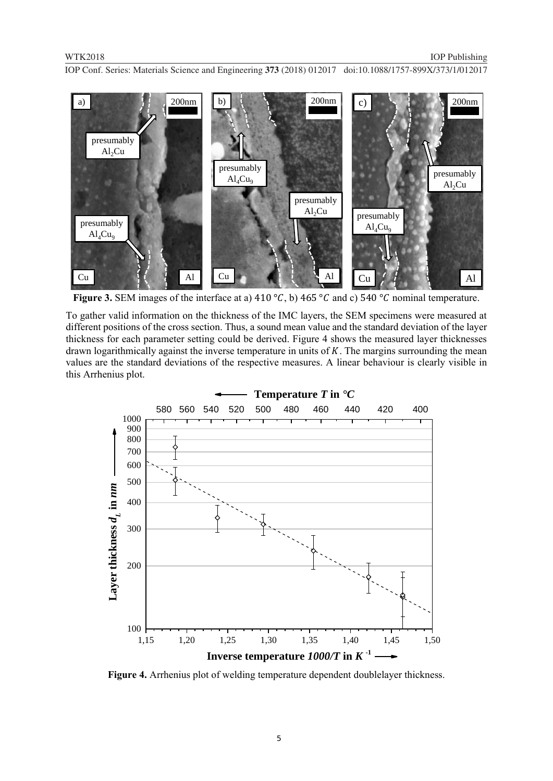

<span id="page-5-0"></span>**Figure 3.** SEM images of the interface at a) 410 °C, b) 465 °C and c) 540 °C nominal temperature.

To gather valid information on the thickness of the IMC layers, the SEM specimens were measured at different positions of the cross section. Thus, a sound mean value and the standard deviation of the layer thickness for each parameter setting could be derived. [Figure](#page-5-1) 4 shows the measured layer thicknesses drawn logarithmically against the inverse temperature in units of  $K$ . The margins surrounding the mean values are the standard deviations of the respective measures. A linear behaviour is clearly visible in this Arrhenius plot.



<span id="page-5-1"></span>**Figure 4.** Arrhenius plot of welding temperature dependent doublelayer thickness.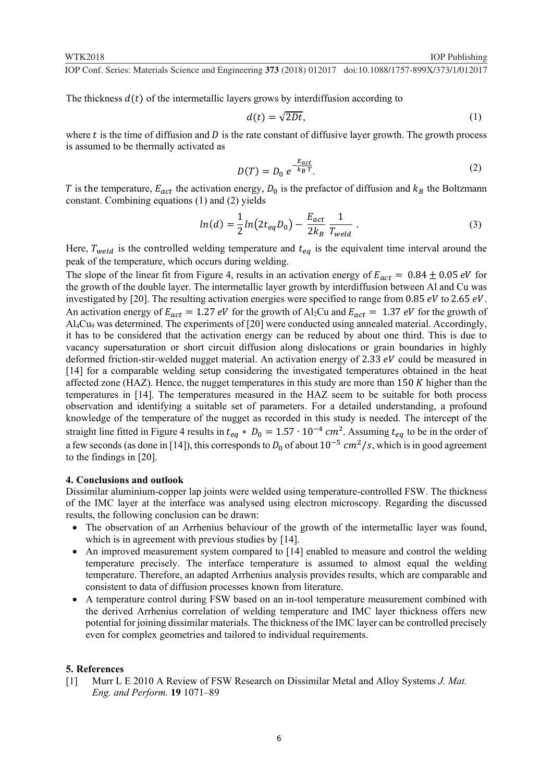The thickness  $d(t)$  of the intermetallic layers grows by interdiffusion according to

$$
d(t) = \sqrt{2Dt},\tag{1}
$$

where  $t$  is the time of diffusion and  $D$  is the rate constant of diffusive layer growth. The growth process is assumed to be thermally activated as

$$
D(T) = D_0 e^{-\frac{E_{act}}{k_B T}}.
$$

T is the temperature,  $E_{act}$  the activation energy,  $D_0$  is the prefactor of diffusion and  $k_B$  the Boltzmann constant. Combining equations (1) and (2) yields

$$
ln(d) = \frac{1}{2}ln(2t_{eq}D_0) - \frac{E_{act}}{2k_B} \frac{1}{T_{weld}}.
$$
 (3)

Here,  $T_{\text{weld}}$  is the controlled welding temperature and  $t_{eq}$  is the equivalent time interval around the peak of the temperature, which occurs during welding.

The slope of the linear fit from [Figure 4,](#page-5-1) results in an activation energy of  $E_{act} = 0.84 \pm 0.05 \text{ eV}$  for the growth of the double layer. The intermetallic layer growth by interdiffusion between Al and Cu was investigated by [20]. The resulting activation energies were specified to range from  $0.85 eV$  to 2.65  $eV$ . An activation energy of  $E_{act} = 1.27$  eV for the growth of Al<sub>2</sub>Cu and  $E_{act} = 1.37$  eV for the growth of Al4Cu<sup>9</sup> was determined. The experiments of [20] were conducted using annealed material. Accordingly, it has to be considered that the activation energy can be reduced by about one third. This is due to vacancy supersaturation or short circuit diffusion along dislocations or grain boundaries in highly deformed friction-stir-welded nugget material. An activation energy of 2.33  $eV$  could be measured in [14] for a comparable welding setup considering the investigated temperatures obtained in the heat affected zone  $(HAZ)$ . Hence, the nugget temperatures in this study are more than 150 K higher than the temperatures in [14]. The temperatures measured in the HAZ seem to be suitable for both process observation and identifying a suitable set of parameters. For a detailed understanding, a profound knowledge of the temperature of the nugget as recorded in this study is needed. The intercept of the straight line fitted in [Figure 4](#page-5-1) results in  $t_{eq} * D_0 = 1.57 \cdot 10^{-4}$  cm<sup>2</sup>. Assuming  $t_{eq}$  to be in the order of a few seconds (as done in [14]), this corresponds to  $D_0$  of about  $10^{-5}$  cm<sup>2</sup>/s, which is in good agreement to the findings in [20].

#### **4. Conclusions and outlook**

Dissimilar aluminium-copper lap joints were welded using temperature-controlled FSW. The thickness of the IMC layer at the interface was analysed using electron microscopy. Regarding the discussed results, the following conclusion can be drawn:

- The observation of an Arrhenius behaviour of the growth of the intermetallic layer was found, which is in agreement with previous studies by [14].
- An improved measurement system compared to [14] enabled to measure and control the welding temperature precisely. The interface temperature is assumed to almost equal the welding temperature. Therefore, an adapted Arrhenius analysis provides results, which are comparable and consistent to data of diffusion processes known from literature.
- A temperature control during FSW based on an in-tool temperature measurement combined with the derived Arrhenius correlation of welding temperature and IMC layer thickness offers new potential for joining dissimilar materials. The thickness of the IMC layer can be controlled precisely even for complex geometries and tailored to individual requirements.

#### **5. References**

[1] Murr L E 2010 A Review of FSW Research on Dissimilar Metal and Alloy Systems *J. Mat. Eng. and Perform.* **19** 1071–89